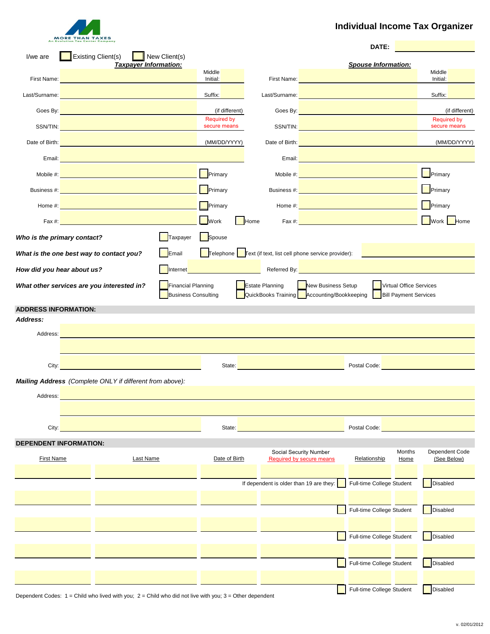

### **Individual Income Tax Organizer**

|                                                          |                    |                                                                                                                                                                                                                                      |                            |                                    |      |                                         |                                                                                                                                                                                                                                      | DATE:                                                                                                                |                              |                                                                                                                                                                                                                                      |
|----------------------------------------------------------|--------------------|--------------------------------------------------------------------------------------------------------------------------------------------------------------------------------------------------------------------------------------|----------------------------|------------------------------------|------|-----------------------------------------|--------------------------------------------------------------------------------------------------------------------------------------------------------------------------------------------------------------------------------------|----------------------------------------------------------------------------------------------------------------------|------------------------------|--------------------------------------------------------------------------------------------------------------------------------------------------------------------------------------------------------------------------------------|
| I/we are                                                 | Existing Client(s) | <b>Taxpayer Information:</b>                                                                                                                                                                                                         | New Client(s)              |                                    |      |                                         |                                                                                                                                                                                                                                      | <b>Spouse Information:</b>                                                                                           |                              |                                                                                                                                                                                                                                      |
| First Name:                                              |                    |                                                                                                                                                                                                                                      |                            | Middle<br>Initial:                 |      |                                         | First Name: <u>New York: New York: New York: New York: New York: New York: New York: New York: New York: New York: New York: New York: New York: New York: New York: New York: New York: New York: New York: New York: New York:</u> |                                                                                                                      |                              | Middle<br>Initial:                                                                                                                                                                                                                   |
|                                                          |                    | Last/Surname: <u>Department of the Community of the Community of the Community of the Community of the Community of the Community of the Community of the Community of the Community of the Community of the Community of the Co</u> |                            | Suffix:                            |      |                                         | Last/Surname: New York Survey of the Marian Survey of the Marian Survey of the Marian Survey of the Marian Survey of the Marian Survey of the Marian Survey of the Marian Survey of the Marian Survey of the Marian Survey of        |                                                                                                                      |                              | Suffix:                                                                                                                                                                                                                              |
|                                                          |                    | Goes By: <b>Contract Contract Contract Contract Contract Contract Contract Contract Contract Contract Contract Contract Contract Contract Contract Contract Contract Contract Contract Contract Contract Contract Contract Contr</b> |                            | (if different)                     |      |                                         | Goes By: <b>Container and Container and Container</b>                                                                                                                                                                                |                                                                                                                      |                              | (if different)                                                                                                                                                                                                                       |
| SSN/TIN:                                                 |                    |                                                                                                                                                                                                                                      |                            | <b>Required by</b><br>secure means |      | SSN/TIN:                                |                                                                                                                                                                                                                                      | <u> 1990 - Jan Stein Stein Stein Stein Stein Stein Stein Stein Stein Stein Stein Stein Stein Stein Stein Stein S</u> |                              | <b>Required by</b><br>secure means                                                                                                                                                                                                   |
|                                                          |                    | Date of Birth: <b>with the contract of Birth: Contract of Birth: Contract of Birth:</b>                                                                                                                                              |                            | (MM/DD/YYYY)                       |      |                                         | Date of Birth: <b>All and Science of Birth: All and Science of Birth:</b>                                                                                                                                                            |                                                                                                                      |                              | (MM/DD/YYYY)                                                                                                                                                                                                                         |
|                                                          |                    | Email: <b>Executive Construction of the Construction Construction of the Construction Construction</b>                                                                                                                               |                            |                                    |      |                                         | Email: <b>All and Service Contract of Contract Contract Contract Contract Contract Contract Contract Contract Contract Contract Contract Contract Contract Contract Contract Contract Contract Contract Contract Contract Contra</b> |                                                                                                                      |                              |                                                                                                                                                                                                                                      |
|                                                          |                    | Mobile #: Notice All Department of the Contract of the Contract of the Contract of the Contract of the Contract of the Contract of the Contract of the Contract of the Contract of the Contract of the Contract of the Contrac       |                            | Primary                            |      |                                         |                                                                                                                                                                                                                                      |                                                                                                                      |                              | Primary                                                                                                                                                                                                                              |
|                                                          |                    | Business #: <u>All and the Community of the Community of the Community of the Community of the Community of the Co</u>                                                                                                               |                            | Primary                            |      |                                         | Business #: <u>Alexander Alexander Alexander Alexander Alexander Alexander Alexander Alexander Alexander Alexander</u>                                                                                                               |                                                                                                                      |                              | Primary                                                                                                                                                                                                                              |
|                                                          |                    |                                                                                                                                                                                                                                      |                            | $\Box$ Primary                     |      |                                         |                                                                                                                                                                                                                                      |                                                                                                                      |                              | Primary                                                                                                                                                                                                                              |
|                                                          |                    |                                                                                                                                                                                                                                      |                            | <b>Work</b>                        | Home |                                         | Fax #: <u>New York: New York: New York: New York: New York: New York: New York: New York: New York: New York: New York: New York: New York: New York: New York: New York: New York: New York: New York: New York: New York: New </u> |                                                                                                                      |                              | Work Home                                                                                                                                                                                                                            |
| Who is the primary contact?                              |                    |                                                                                                                                                                                                                                      | Taxpayer                   | Spouse                             |      |                                         |                                                                                                                                                                                                                                      |                                                                                                                      |                              |                                                                                                                                                                                                                                      |
| What is the one best way to contact you?                 |                    |                                                                                                                                                                                                                                      | Email                      |                                    |      |                                         | $\blacksquare$ Telephone $\blacksquare$ Text (if text, list cell phone service provider):                                                                                                                                            |                                                                                                                      |                              |                                                                                                                                                                                                                                      |
| How did you hear about us?                               |                    |                                                                                                                                                                                                                                      | Internet                   |                                    |      |                                         | Referred By: <u>Contract Communications of the Contract Communications</u>                                                                                                                                                           |                                                                                                                      |                              |                                                                                                                                                                                                                                      |
| What other services are you interested in?               |                    |                                                                                                                                                                                                                                      | Financial Planning         |                                    |      | <b>Estate Planning</b>                  | New Business Setup                                                                                                                                                                                                                   |                                                                                                                      | Virtual Office Services      |                                                                                                                                                                                                                                      |
|                                                          |                    |                                                                                                                                                                                                                                      | <b>Business Consulting</b> |                                    |      |                                         | QuickBooks Training <b>Accounting/Bookkeeping</b>                                                                                                                                                                                    |                                                                                                                      | <b>Bill Payment Services</b> |                                                                                                                                                                                                                                      |
| <b>ADDRESS INFORMATION:</b>                              |                    |                                                                                                                                                                                                                                      |                            |                                    |      |                                         |                                                                                                                                                                                                                                      |                                                                                                                      |                              |                                                                                                                                                                                                                                      |
| Address:                                                 |                    |                                                                                                                                                                                                                                      |                            |                                    |      |                                         |                                                                                                                                                                                                                                      |                                                                                                                      |                              |                                                                                                                                                                                                                                      |
|                                                          |                    | Address: <u>Address: Address: Address: Address: Address: Address: Address: Address: Address: Address: Address: Address: Address: Address: Address: Address: Address: Address: Address: Address: Address: Address: Address: Addre</u> |                            |                                    |      |                                         |                                                                                                                                                                                                                                      |                                                                                                                      |                              |                                                                                                                                                                                                                                      |
|                                                          |                    |                                                                                                                                                                                                                                      |                            |                                    |      |                                         |                                                                                                                                                                                                                                      |                                                                                                                      |                              |                                                                                                                                                                                                                                      |
| City:                                                    |                    |                                                                                                                                                                                                                                      |                            |                                    |      |                                         | State: <u>New York: New York: New York: New York: New York: New York: New York: New York: New York: New York: New York: New York: New York: New York: New York: New York: New York: New York: New York: New York: New York: New </u> |                                                                                                                      |                              | Postal Code: <u>New York: New York: New York: New York: New York: New York: New York: New York: New York: New York: New York: New York: New York: New York: New York: New York: New York: New York: New York: New York: New York</u> |
| Mailing Address (Complete ONLY if different from above): |                    |                                                                                                                                                                                                                                      |                            |                                    |      |                                         |                                                                                                                                                                                                                                      |                                                                                                                      |                              |                                                                                                                                                                                                                                      |
| Address:                                                 |                    |                                                                                                                                                                                                                                      |                            |                                    |      |                                         |                                                                                                                                                                                                                                      |                                                                                                                      |                              |                                                                                                                                                                                                                                      |
|                                                          |                    |                                                                                                                                                                                                                                      |                            |                                    |      |                                         |                                                                                                                                                                                                                                      |                                                                                                                      |                              |                                                                                                                                                                                                                                      |
| City:                                                    |                    |                                                                                                                                                                                                                                      |                            | State:                             |      |                                         |                                                                                                                                                                                                                                      | Postal Code:                                                                                                         |                              |                                                                                                                                                                                                                                      |
| <b>DEPENDENT INFORMATION:</b>                            |                    |                                                                                                                                                                                                                                      |                            |                                    |      |                                         |                                                                                                                                                                                                                                      |                                                                                                                      |                              |                                                                                                                                                                                                                                      |
|                                                          |                    | <b>Last Name</b>                                                                                                                                                                                                                     |                            | Date of Birth                      |      |                                         | Social Security Number<br>Required by secure means                                                                                                                                                                                   | Relationship                                                                                                         | Months<br>Home               | Dependent Code<br>(See Below)                                                                                                                                                                                                        |
| <b>First Name</b>                                        |                    |                                                                                                                                                                                                                                      |                            |                                    |      |                                         |                                                                                                                                                                                                                                      |                                                                                                                      |                              |                                                                                                                                                                                                                                      |
|                                                          |                    |                                                                                                                                                                                                                                      |                            |                                    |      | If dependent is older than 19 are they: |                                                                                                                                                                                                                                      | Full-time College Student                                                                                            |                              | <b>Disabled</b>                                                                                                                                                                                                                      |
|                                                          |                    |                                                                                                                                                                                                                                      |                            |                                    |      |                                         |                                                                                                                                                                                                                                      |                                                                                                                      |                              |                                                                                                                                                                                                                                      |
|                                                          |                    |                                                                                                                                                                                                                                      |                            |                                    |      |                                         |                                                                                                                                                                                                                                      | Full-time College Student                                                                                            |                              | Disabled                                                                                                                                                                                                                             |
|                                                          |                    |                                                                                                                                                                                                                                      |                            |                                    |      |                                         |                                                                                                                                                                                                                                      |                                                                                                                      |                              |                                                                                                                                                                                                                                      |
|                                                          |                    |                                                                                                                                                                                                                                      |                            |                                    |      |                                         |                                                                                                                                                                                                                                      | Full-time College Student                                                                                            |                              | Disabled                                                                                                                                                                                                                             |
|                                                          |                    |                                                                                                                                                                                                                                      |                            |                                    |      |                                         |                                                                                                                                                                                                                                      | Full-time College Student                                                                                            |                              | Disabled                                                                                                                                                                                                                             |
|                                                          |                    |                                                                                                                                                                                                                                      |                            |                                    |      |                                         |                                                                                                                                                                                                                                      |                                                                                                                      |                              |                                                                                                                                                                                                                                      |
|                                                          |                    |                                                                                                                                                                                                                                      |                            |                                    |      |                                         |                                                                                                                                                                                                                                      | Full-time College Student                                                                                            |                              | Disabled                                                                                                                                                                                                                             |

Dependent Codes: 1 = Child who lived with you; 2 = Child who did not live with you; 3 = Other dependent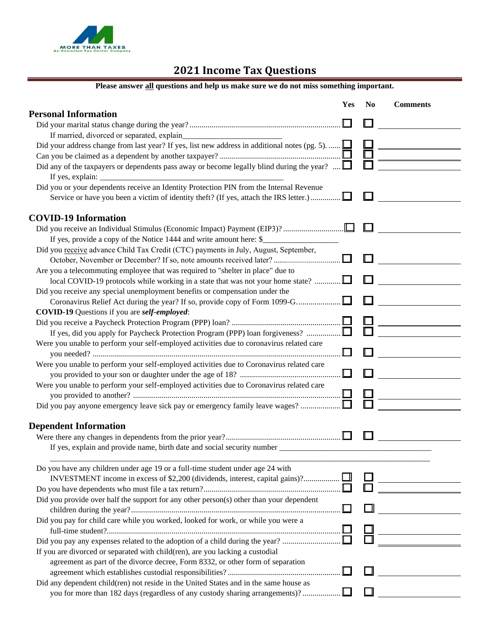

Ė

# **2021 Income Tax Questions**

| Please answer all questions and help us make sure we do not miss something important.            |              |                |                 |
|--------------------------------------------------------------------------------------------------|--------------|----------------|-----------------|
|                                                                                                  | Yes          | N <sub>0</sub> | <b>Comments</b> |
| <b>Personal Information</b>                                                                      |              |                |                 |
|                                                                                                  |              |                |                 |
| If married, divorced or separated, explain_                                                      |              |                |                 |
| Did your address change from last year? If yes, list new address in additional notes (pg. 5).    |              |                |                 |
| Did any of the taxpayers or dependents pass away or become legally blind during the year? $\Box$ |              |                |                 |
|                                                                                                  |              |                |                 |
| Did you or your dependents receive an Identity Protection PIN from the Internal Revenue          |              |                |                 |
|                                                                                                  |              |                |                 |
| <b>COVID-19 Information</b>                                                                      |              |                |                 |
|                                                                                                  |              |                |                 |
| If yes, provide a copy of the Notice 1444 and write amount here: \$                              |              |                |                 |
| Did you receive advance Child Tax Credit (CTC) payments in July, August, September,              |              |                |                 |
|                                                                                                  |              |                |                 |
| Are you a telecommuting employee that was required to "shelter in place" due to                  |              |                |                 |
|                                                                                                  |              |                |                 |
| Did you receive any special unemployment benefits or compensation under the                      |              |                |                 |
|                                                                                                  |              |                |                 |
| <b>COVID-19</b> Questions if you are self-employed:                                              |              |                |                 |
|                                                                                                  |              |                |                 |
| If yes, did you apply for Paycheck Protection Program (PPP) loan forgiveness?                    | $\Box$       |                |                 |
| Were you unable to perform your self-employed activities due to coronavirus related care         | $\mathbf{I}$ |                |                 |
| Were you unable to perform your self-employed activities due to Coronavirus related care         |              |                |                 |
|                                                                                                  | ப            |                |                 |
| Were you unable to perform your self-employed activities due to Coronavirus related care         |              |                |                 |
|                                                                                                  |              |                |                 |
| Did you pay anyone emergency leave sick pay or emergency family leave wages?                     |              |                |                 |
| <b>Dependent Information</b>                                                                     |              |                |                 |
|                                                                                                  |              |                |                 |
|                                                                                                  |              |                |                 |
| Do you have any children under age 19 or a full-time student under age 24 with                   |              |                |                 |
|                                                                                                  |              |                |                 |
|                                                                                                  |              |                |                 |
| Did you provide over half the support for any other person(s) other than your dependent          |              |                |                 |
|                                                                                                  |              |                |                 |
| Did you pay for child care while you worked, looked for work, or while you were a                |              |                |                 |
|                                                                                                  |              |                |                 |
|                                                                                                  |              |                |                 |
| If you are divorced or separated with child(ren), are you lacking a custodial                    |              |                |                 |
| agreement as part of the divorce decree, Form 8332, or other form of separation                  |              |                |                 |
|                                                                                                  | . L          |                |                 |
| Did any dependent child(ren) not reside in the United States and in the same house as            |              |                |                 |
|                                                                                                  |              |                |                 |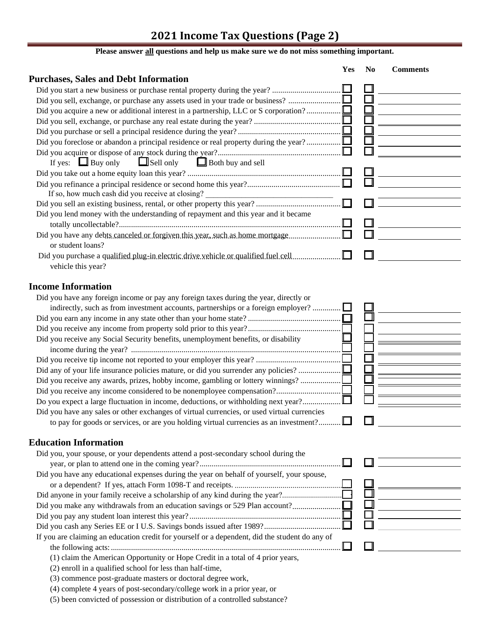# **2021 Income Tax Questions (Page 2)**

|  |  |  |  | Please answer all questions and help us make sure we do not miss something important. |
|--|--|--|--|---------------------------------------------------------------------------------------|
|--|--|--|--|---------------------------------------------------------------------------------------|

|                                                                                                                 | Yes    | No | <b>Comments</b> |
|-----------------------------------------------------------------------------------------------------------------|--------|----|-----------------|
| <b>Purchases, Sales and Debt Information</b>                                                                    |        |    |                 |
| Did you start a new business or purchase rental property during the year?                                       |        |    |                 |
|                                                                                                                 |        |    |                 |
|                                                                                                                 |        |    |                 |
|                                                                                                                 |        |    |                 |
|                                                                                                                 |        |    |                 |
| Did you foreclose or abandon a principal residence or real property during the year?                            |        |    |                 |
|                                                                                                                 |        |    |                 |
| If yes: $\Box$ Buy only $\Box$ Sell only $\Box$ Both buy and sell                                               |        |    |                 |
|                                                                                                                 | .ப     |    |                 |
|                                                                                                                 |        |    |                 |
| If so, how much cash did you receive at closing?<br>the control of the control of the control of the control of |        |    |                 |
|                                                                                                                 |        |    |                 |
| Did you lend money with the understanding of repayment and this year and it became                              |        |    |                 |
|                                                                                                                 | $\Box$ |    |                 |
| Did you have any debts canceled or forgiven this year, such as home mortgage                                    | $\Box$ |    |                 |
| or student loans?                                                                                               |        |    |                 |
| Did you purchase a qualified plug-in electric drive vehicle or qualified fuel cell                              |        |    |                 |
| vehicle this year?                                                                                              |        |    |                 |
|                                                                                                                 |        |    |                 |
| <b>Income Information</b>                                                                                       |        |    |                 |
| Did you have any foreign income or pay any foreign taxes during the year, directly or                           |        |    |                 |
| indirectly, such as from investment accounts, partnerships or a foreign employer?                               |        |    |                 |
|                                                                                                                 |        |    |                 |
|                                                                                                                 |        |    |                 |
| Did you receive any Social Security benefits, unemployment benefits, or disability                              |        |    |                 |
|                                                                                                                 |        |    |                 |
|                                                                                                                 |        |    |                 |
|                                                                                                                 |        |    |                 |
| Did you receive any awards, prizes, hobby income, gambling or lottery winnings?                                 |        |    |                 |
| Did you receive any income considered to be nonemployee compensation?                                           |        |    |                 |
| Do you expect a large fluctuation in income, deductions, or withholding next year?                              |        |    |                 |
| Did you have any sales or other exchanges of virtual currencies, or used virtual currencies                     |        |    |                 |
| to pay for goods or services, or are you holding virtual currencies as an investment?                           |        |    |                 |
| <b>Education Information</b>                                                                                    |        |    |                 |
|                                                                                                                 |        |    |                 |
| Did you, your spouse, or your dependents attend a post-secondary school during the                              |        |    |                 |
|                                                                                                                 |        |    |                 |
| Did you have any educational expenses during the year on behalf of yourself, your spouse,                       |        |    |                 |
|                                                                                                                 |        |    |                 |
| Did anyone in your family receive a scholarship of any kind during the year?                                    |        |    |                 |
|                                                                                                                 |        |    |                 |
|                                                                                                                 |        |    |                 |

If you are claiming an education credit for yourself or a dependent, did the student do any of the following acts: ..................................................................................................................

Did you cash any Series EE or I U.S. Savings bonds issued after 1989?......................................

(1) claim the American Opportunity or Hope Credit in a total of 4 prior years,

(2) enroll in a qualified school for less than half-time,

(3) commence post-graduate masters or doctoral degree work,

(4) complete 4 years of post-secondary/college work in a prior year, or

(5) been convicted of possession or distribution of a controlled substance?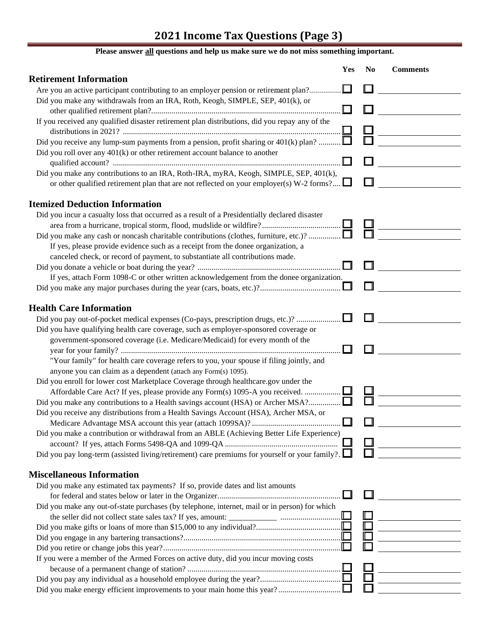## **2021 Income Tax Questions (Page 3)**

**Please answer all questions and help us make sure we do not miss something important.**

|                                                                                                       | Yes | N <sub>0</sub> | <b>Comments</b> |
|-------------------------------------------------------------------------------------------------------|-----|----------------|-----------------|
| <b>Retirement Information</b>                                                                         |     |                |                 |
| Are you an active participant contributing to an employer pension or retirement plan?                 |     |                |                 |
| Did you make any withdrawals from an IRA, Roth, Keogh, SIMPLE, SEP, 401(k), or                        |     |                |                 |
|                                                                                                       |     |                |                 |
| If you received any qualified disaster retirement plan distributions, did you repay any of the        |     |                |                 |
|                                                                                                       |     |                |                 |
| Did you receive any lump-sum payments from a pension, profit sharing or 401(k) plan?                  |     |                |                 |
| Did you roll over any $401(k)$ or other retirement account balance to another                         |     |                |                 |
|                                                                                                       |     |                |                 |
| Did you make any contributions to an IRA, Roth-IRA, myRA, Keogh, SIMPLE, SEP, 401(k),                 |     |                |                 |
| or other qualified retirement plan that are not reflected on your employer(s) W-2 forms?              |     |                |                 |
| <b>Itemized Deduction Information</b>                                                                 |     |                |                 |
|                                                                                                       |     |                |                 |
| Did you incur a casualty loss that occurred as a result of a Presidentially declared disaster         |     |                |                 |
|                                                                                                       |     |                |                 |
| Did you make any cash or noncash charitable contributions (clothes, furniture, etc.)?                 |     |                |                 |
| If yes, please provide evidence such as a receipt from the donee organization, a                      |     |                |                 |
| canceled check, or record of payment, to substantiate all contributions made.                         |     |                |                 |
|                                                                                                       |     |                |                 |
| If yes, attach Form 1098-C or other written acknowledgement from the donee organization.              |     |                |                 |
|                                                                                                       |     |                |                 |
| <b>Health Care Information</b>                                                                        |     |                |                 |
| Did you pay out-of-pocket medical expenses (Co-pays, prescription drugs, etc.)?                       |     |                |                 |
| Did you have qualifying health care coverage, such as employer-sponsored coverage or                  |     |                |                 |
| government-sponsored coverage (i.e. Medicare/Medicaid) for every month of the                         |     |                |                 |
|                                                                                                       |     |                |                 |
| "Your family" for health care coverage refers to you, your spouse if filing jointly, and              |     |                |                 |
| anyone you can claim as a dependent (attach any Form(s) 1095).                                        |     |                |                 |
| Did you enroll for lower cost Marketplace Coverage through healthcare.gov under the                   |     |                |                 |
| Affordable Care Act? If yes, please provide any Form(s) 1095-A you received.                          |     |                |                 |
| Did you make any contributions to a Health savings account (HSA) or Archer MSA?                       |     |                |                 |
| Did you receive any distributions from a Health Savings Account (HSA), Archer MSA, or                 |     |                |                 |
|                                                                                                       |     |                |                 |
| Did you make a contribution or withdrawal from an ABLE (Achieving Better Life Experience)             |     |                |                 |
|                                                                                                       |     |                |                 |
| Did you pay long-term (assisted living/retirement) care premiums for yourself or your family?. $\Box$ |     |                |                 |
|                                                                                                       |     |                |                 |
| <b>Miscellaneous Information</b>                                                                      |     |                |                 |
| Did you make any estimated tax payments? If so, provide dates and list amounts                        |     |                |                 |
|                                                                                                       |     |                |                 |
| Did you make any out-of-state purchases (by telephone, internet, mail or in person) for which         |     |                |                 |
|                                                                                                       |     |                |                 |
|                                                                                                       |     |                |                 |
|                                                                                                       |     |                |                 |
|                                                                                                       |     |                |                 |
| If you were a member of the Armed Forces on active duty, did you incur moving costs                   |     |                |                 |
|                                                                                                       |     |                |                 |
|                                                                                                       |     |                |                 |
|                                                                                                       |     |                |                 |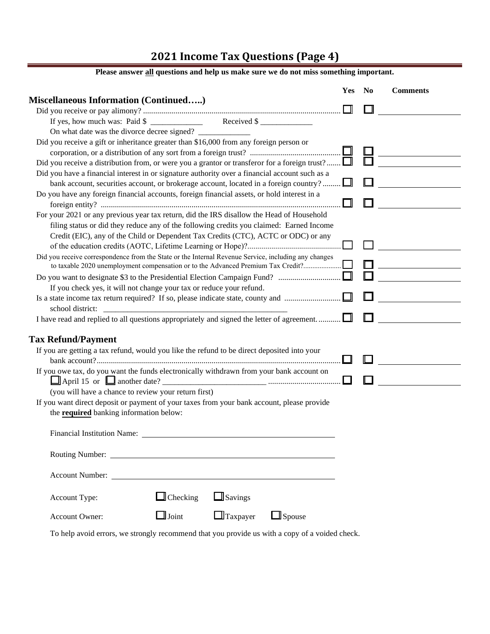## **2021 Income Tax Questions (Page 4) Please answer all questions and help us make sure we do not miss something important.**

|                                                                                                      | Yes           | No | <b>Comments</b> |
|------------------------------------------------------------------------------------------------------|---------------|----|-----------------|
| <b>Miscellaneous Information (Continued)</b>                                                         |               |    |                 |
| If yes, how much was: Paid $\frac{1}{2}$ Received $\frac{1}{2}$                                      |               |    |                 |
| On what date was the divorce decree signed?                                                          |               |    |                 |
| Did you receive a gift or inheritance greater than \$16,000 from any foreign person or               |               |    |                 |
|                                                                                                      |               |    |                 |
| Did you receive a distribution from, or were you a grantor or transferor for a foreign trust?        |               |    |                 |
| Did you have a financial interest in or signature authority over a financial account such as a       |               |    |                 |
| bank account, securities account, or brokerage account, located in a foreign country?                |               |    |                 |
| Do you have any foreign financial accounts, foreign financial assets, or hold interest in a          |               |    |                 |
|                                                                                                      |               |    |                 |
| For your 2021 or any previous year tax return, did the IRS disallow the Head of Household            |               |    |                 |
| filing status or did they reduce any of the following credits you claimed: Earned Income             |               |    |                 |
| Credit (EIC), any of the Child or Dependent Tax Credits (CTC), ACTC or ODC) or any                   |               |    |                 |
|                                                                                                      |               |    |                 |
| Did you receive correspondence from the State or the Internal Revenue Service, including any changes |               |    |                 |
| to taxable 2020 unemployment compensation or to the Advanced Premium Tax Credit?                     |               |    |                 |
|                                                                                                      |               |    |                 |
| If you check yes, it will not change your tax or reduce your refund.                                 |               |    |                 |
|                                                                                                      |               |    |                 |
| school district:                                                                                     |               |    |                 |
| I have read and replied to all questions appropriately and signed the letter of agreement            |               |    |                 |
| <b>Tax Refund/Payment</b>                                                                            |               |    |                 |
| If you are getting a tax refund, would you like the refund to be direct deposited into your          |               |    |                 |
|                                                                                                      |               |    |                 |
| If you owe tax, do you want the funds electronically withdrawn from your bank account on             |               |    |                 |
|                                                                                                      |               |    |                 |
| (you will have a chance to review your return first)                                                 |               |    |                 |
| If you want direct deposit or payment of your taxes from your bank account, please provide           |               |    |                 |
| the required banking information below:                                                              |               |    |                 |
|                                                                                                      |               |    |                 |
| <b>Financial Institution Name:</b>                                                                   |               |    |                 |
|                                                                                                      |               |    |                 |
|                                                                                                      |               |    |                 |
|                                                                                                      |               |    |                 |
|                                                                                                      |               |    |                 |
|                                                                                                      |               |    |                 |
| $\Box$ Savings<br>$\Box$ Checking<br>Account Type:                                                   |               |    |                 |
| $\Box$ Joint<br>$\Box$ Taxpayer<br><b>Account Owner:</b>                                             | $\Box$ Spouse |    |                 |
|                                                                                                      |               |    |                 |

To help avoid errors, we strongly recommend that you provide us with a copy of a voided check.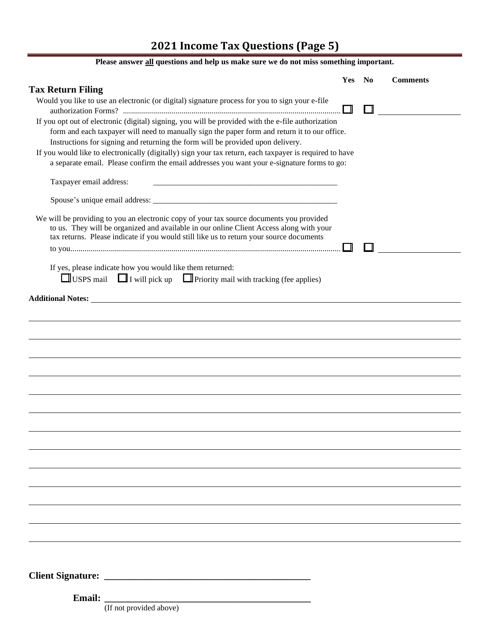# **2021 Income Tax Questions (Page 5)**

| Please answer all questions and help us make sure we do not miss something important.                                                                                                                                                                                                                                                                                                                                                                                                            |        |                 |
|--------------------------------------------------------------------------------------------------------------------------------------------------------------------------------------------------------------------------------------------------------------------------------------------------------------------------------------------------------------------------------------------------------------------------------------------------------------------------------------------------|--------|-----------------|
|                                                                                                                                                                                                                                                                                                                                                                                                                                                                                                  | Yes No | <b>Comments</b> |
| <b>Tax Return Filing</b>                                                                                                                                                                                                                                                                                                                                                                                                                                                                         |        |                 |
| Would you like to use an electronic (or digital) signature process for you to sign your e-file                                                                                                                                                                                                                                                                                                                                                                                                   | - II   |                 |
| If you opt out of electronic (digital) signing, you will be provided with the e-file authorization<br>form and each taxpayer will need to manually sign the paper form and return it to our office.<br>Instructions for signing and returning the form will be provided upon delivery.<br>If you would like to electronically (digitally) sign your tax return, each taxpayer is required to have<br>a separate email. Please confirm the email addresses you want your e-signature forms to go: |        |                 |
| Taxpayer email address:                                                                                                                                                                                                                                                                                                                                                                                                                                                                          |        |                 |
|                                                                                                                                                                                                                                                                                                                                                                                                                                                                                                  |        |                 |
| We will be providing to you an electronic copy of your tax source documents you provided<br>to us. They will be organized and available in our online Client Access along with your<br>tax returns. Please indicate if you would still like us to return your source documents                                                                                                                                                                                                                   |        |                 |
| If yes, please indicate how you would like them returned:<br>$\Box$ I will pick up $\Box$ Priority mail with tracking (fee applies)<br>$\Box$ USPS mail                                                                                                                                                                                                                                                                                                                                          |        |                 |
| Additional Notes: Later and Additional Notes: Later and Additional Notes: Later and Additional Notes:                                                                                                                                                                                                                                                                                                                                                                                            |        |                 |
|                                                                                                                                                                                                                                                                                                                                                                                                                                                                                                  |        |                 |
|                                                                                                                                                                                                                                                                                                                                                                                                                                                                                                  |        |                 |
|                                                                                                                                                                                                                                                                                                                                                                                                                                                                                                  |        |                 |
|                                                                                                                                                                                                                                                                                                                                                                                                                                                                                                  |        |                 |
|                                                                                                                                                                                                                                                                                                                                                                                                                                                                                                  |        |                 |
|                                                                                                                                                                                                                                                                                                                                                                                                                                                                                                  |        |                 |
|                                                                                                                                                                                                                                                                                                                                                                                                                                                                                                  |        |                 |
|                                                                                                                                                                                                                                                                                                                                                                                                                                                                                                  |        |                 |
|                                                                                                                                                                                                                                                                                                                                                                                                                                                                                                  |        |                 |
|                                                                                                                                                                                                                                                                                                                                                                                                                                                                                                  |        |                 |
|                                                                                                                                                                                                                                                                                                                                                                                                                                                                                                  |        |                 |
|                                                                                                                                                                                                                                                                                                                                                                                                                                                                                                  |        |                 |
|                                                                                                                                                                                                                                                                                                                                                                                                                                                                                                  |        |                 |
|                                                                                                                                                                                                                                                                                                                                                                                                                                                                                                  |        |                 |
|                                                                                                                                                                                                                                                                                                                                                                                                                                                                                                  |        |                 |
| <b>Email:</b>                                                                                                                                                                                                                                                                                                                                                                                                                                                                                    |        |                 |

(If not provided above)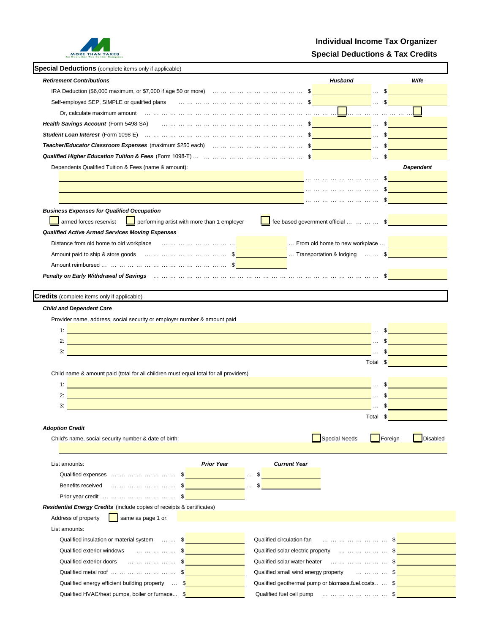

## **Individual Income Tax Organizer Special Deductions & Tax Credits**

| <b>Special Deductions</b> (complete items only if applicable)                                                                                                                                                                                                                                                                                                                                       |                                                                                     |                                                                                                                                                                                                                                                                               |
|-----------------------------------------------------------------------------------------------------------------------------------------------------------------------------------------------------------------------------------------------------------------------------------------------------------------------------------------------------------------------------------------------------|-------------------------------------------------------------------------------------|-------------------------------------------------------------------------------------------------------------------------------------------------------------------------------------------------------------------------------------------------------------------------------|
| <b>Retirement Contributions</b>                                                                                                                                                                                                                                                                                                                                                                     | <b>Husband</b>                                                                      | Wife                                                                                                                                                                                                                                                                          |
|                                                                                                                                                                                                                                                                                                                                                                                                     |                                                                                     |                                                                                                                                                                                                                                                                               |
| Self-employed SEP, SIMPLE or qualified plans and the manner of the manner of the manner of the state of the manner of the manner of the manner of the manner of the manner of the manner of the manner of the manner of the ma                                                                                                                                                                      |                                                                                     |                                                                                                                                                                                                                                                                               |
|                                                                                                                                                                                                                                                                                                                                                                                                     |                                                                                     |                                                                                                                                                                                                                                                                               |
|                                                                                                                                                                                                                                                                                                                                                                                                     |                                                                                     |                                                                                                                                                                                                                                                                               |
| <b>Student Loan Interest</b> (Form 1098-E) <b>and the contract of the contract of the contract of the contract of the contract of the contract of the contract of the contract of the contract of the contract of the contract of the</b>                                                                                                                                                           |                                                                                     |                                                                                                                                                                                                                                                                               |
| Teacher/Educator Classroom Expenses (maximum \$250 each) www.www.ww.ww.www.www.\$ <b>web.com/Educator Classroom Expenses</b> (maximum \$250 each) www.www.www.www.www.www. <mark>\$web.com/Educator \$</mark> web.com                                                                                                                                                                               |                                                                                     |                                                                                                                                                                                                                                                                               |
|                                                                                                                                                                                                                                                                                                                                                                                                     |                                                                                     |                                                                                                                                                                                                                                                                               |
| Dependents Qualified Tuition & Fees (name & amount):                                                                                                                                                                                                                                                                                                                                                |                                                                                     | <b>Dependent</b>                                                                                                                                                                                                                                                              |
|                                                                                                                                                                                                                                                                                                                                                                                                     |                                                                                     |                                                                                                                                                                                                                                                                               |
|                                                                                                                                                                                                                                                                                                                                                                                                     |                                                                                     |                                                                                                                                                                                                                                                                               |
|                                                                                                                                                                                                                                                                                                                                                                                                     |                                                                                     |                                                                                                                                                                                                                                                                               |
| <b>Business Expenses for Qualified Occupation</b>                                                                                                                                                                                                                                                                                                                                                   |                                                                                     |                                                                                                                                                                                                                                                                               |
| armed forces reservist<br>$\Box$ performing artist with more than 1 employer                                                                                                                                                                                                                                                                                                                        | fee based government official    \$                                                 |                                                                                                                                                                                                                                                                               |
| <b>Qualified Active Armed Services Moving Expenses</b>                                                                                                                                                                                                                                                                                                                                              |                                                                                     |                                                                                                                                                                                                                                                                               |
| Distance from old home to old workplace entirely and the content of the content of the content of the content of the content of the content of the content of the content of the content of the content of the content of the                                                                                                                                                                       |                                                                                     |                                                                                                                                                                                                                                                                               |
| Amount paid to ship & store goods          \$ <b>AMOULT ADELIA IS A SHOT AS A SHOT AS ISSUE A</b>                                                                                                                                                                                                                                                                                                   |                                                                                     |                                                                                                                                                                                                                                                                               |
|                                                                                                                                                                                                                                                                                                                                                                                                     |                                                                                     |                                                                                                                                                                                                                                                                               |
| Penalty on Early Withdrawal of Savings <b>construction and construction of the Ca</b> rlotter of the Carlotter of the Ca                                                                                                                                                                                                                                                                            |                                                                                     |                                                                                                                                                                                                                                                                               |
|                                                                                                                                                                                                                                                                                                                                                                                                     |                                                                                     |                                                                                                                                                                                                                                                                               |
| Provider name, address, social security or employer number & amount paid                                                                                                                                                                                                                                                                                                                            |                                                                                     |                                                                                                                                                                                                                                                                               |
| 3:<br>a de la construcción de la construcción de la construcción de la construcción de la construcción de la construcció<br>Child name & amount paid (total for all children must equal total for all providers)<br>2:<br>,我们也不会有什么。""我们的人,我们也不会有什么?""我们的人,我们也不会有什么?""我们的人,我们也不会有什么?""我们的人,我们也不会有什么?""我们的人<br>3:<br><b>Adoption Credit</b><br>Child's name, social security number & date of birth: | Total \$<br><b>Contract</b><br>Total \$<br><b>Special Needs</b><br>Foreign          | $\mathfrak{S}$ and the set of the set of the set of the set of the set of the set of the set of the set of the set of the set of the set of the set of the set of the set of the set of the set of the set of the set of the set o<br>$\frac{1}{\sqrt{2}}$<br><b>Disabled</b> |
| <b>Prior Year</b><br>List amounts:                                                                                                                                                                                                                                                                                                                                                                  | <b>Current Year</b>                                                                 |                                                                                                                                                                                                                                                                               |
| Qualified expenses        \$                                                                                                                                                                                                                                                                                                                                                                        | S                                                                                   |                                                                                                                                                                                                                                                                               |
| in the second control of the second control of the second control of the second control of the second control o<br>Benefits received<br>\$                                                                                                                                                                                                                                                          |                                                                                     |                                                                                                                                                                                                                                                                               |
| Prior year credit $\frac{1}{2}$                                                                                                                                                                                                                                                                                                                                                                     |                                                                                     |                                                                                                                                                                                                                                                                               |
| <b>Residential Energy Credits</b> (include copies of receipts & certificates)                                                                                                                                                                                                                                                                                                                       |                                                                                     |                                                                                                                                                                                                                                                                               |
| Address of property<br>same as page 1 or:                                                                                                                                                                                                                                                                                                                                                           |                                                                                     |                                                                                                                                                                                                                                                                               |
| List amounts:                                                                                                                                                                                                                                                                                                                                                                                       |                                                                                     |                                                                                                                                                                                                                                                                               |
| Qualified insulation or material system   \$                                                                                                                                                                                                                                                                                                                                                        | \$ <mark>.</mark><br>Qualified circulation fan                                      |                                                                                                                                                                                                                                                                               |
| Qualified exterior windows                                                                                                                                                                                                                                                                                                                                                                          | Qualified solar electric property       \$                                          |                                                                                                                                                                                                                                                                               |
| Qualified exterior doors<br><b>\$</b>                                                                                                                                                                                                                                                                                                                                                               | Qualified solar water heater       \$                                               |                                                                                                                                                                                                                                                                               |
| Qualified metal roof         \$                                                                                                                                                                                                                                                                                                                                                                     | Qualified small wind energy property                                                |                                                                                                                                                                                                                                                                               |
| Qualified energy efficient building property $\ldots$ \$                                                                                                                                                                                                                                                                                                                                            | \$ <u>__________________</u><br>Qualified geothermal pump or biomass fuel costs  \$ |                                                                                                                                                                                                                                                                               |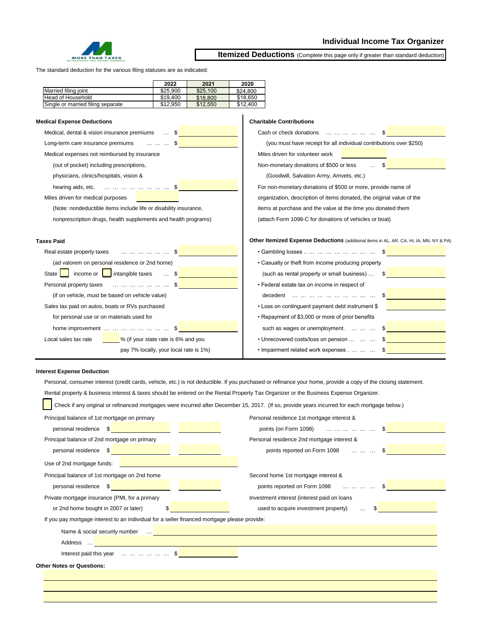

### **Individual Income Tax Organizer**

**Itemized Deductions** (Complete this page only if greater than standard deduction)

The standard deduction for the various filing statuses are as indicated:

|                                                                                                                                                                                                                                    | 2022     | 2021     | 2020     |                                                                                         |  |  |  |  |
|------------------------------------------------------------------------------------------------------------------------------------------------------------------------------------------------------------------------------------|----------|----------|----------|-----------------------------------------------------------------------------------------|--|--|--|--|
| Married filing joint                                                                                                                                                                                                               | \$25,900 | \$25,100 | \$24,800 |                                                                                         |  |  |  |  |
| <b>Head of Household</b>                                                                                                                                                                                                           | \$19,400 | \$18,800 | \$18,650 |                                                                                         |  |  |  |  |
| Single or married filing separate                                                                                                                                                                                                  | \$12,950 | \$12,550 | \$12,400 |                                                                                         |  |  |  |  |
| <b>Medical Expense Deductions</b>                                                                                                                                                                                                  |          |          |          | <b>Charitable Contributions</b>                                                         |  |  |  |  |
| Medical, dental & vision insurance premiums $\ldots$ \$                                                                                                                                                                            |          |          |          | Cash or check donations      \$                                                         |  |  |  |  |
| Long-term care insurance premiums and the state of the state of the state of the state of the state of the state of the state of the state of the state of the state of the state of the state of the state of the state of th     |          |          |          | (you must have receipt for all individual contributions over \$250)                     |  |  |  |  |
| Medical expenses not reimbursed by insurance                                                                                                                                                                                       |          |          |          | Miles driven for volunteer work                                                         |  |  |  |  |
| (out of pocket) including prescriptions,                                                                                                                                                                                           |          |          |          | Non-monetary donations of \$500 or less  \$                                             |  |  |  |  |
| physicians, clinics/hospitals, vision &                                                                                                                                                                                            |          |          |          | (Goodwill, Salvation Army, Amvets, etc.)                                                |  |  |  |  |
| hearing aids, etc. $\sqrt{3}$                                                                                                                                                                                                      |          |          |          | For non-monetary donations of \$500 or more, provide name of                            |  |  |  |  |
| Miles driven for medical purposes                                                                                                                                                                                                  |          |          |          | organization, description of items donated, the original value of the                   |  |  |  |  |
| (Note: nondeductible items include life or disability insurance,                                                                                                                                                                   |          |          |          | items at purchase and the value at the time you donated them                            |  |  |  |  |
|                                                                                                                                                                                                                                    |          |          |          |                                                                                         |  |  |  |  |
| nonprescription drugs, health supplements and health programs)                                                                                                                                                                     |          |          |          | (attach Form 1098-C for donations of vehicles or boat)                                  |  |  |  |  |
|                                                                                                                                                                                                                                    |          |          |          |                                                                                         |  |  |  |  |
|                                                                                                                                                                                                                                    |          |          |          | Other Itemized Expense Deductions (additional items in AL, AR, CA, HI, IA, MN, NY & PA) |  |  |  |  |
| Real estate property taxes and the control of \$                                                                                                                                                                                   |          |          |          |                                                                                         |  |  |  |  |
| (ad valorem on personal residence or 2nd home)                                                                                                                                                                                     |          |          |          | • Casualty or theft from income producing property                                      |  |  |  |  |
| State   income or   intangible taxes  \$                                                                                                                                                                                           |          |          |          | (such as rental property or small business) $\ldots$ \$                                 |  |  |  |  |
| <b>Personal property taxes</b> and the contract of the set of the set of the set of the set of the set of the set of the set of the set of the set of the set of the set of the set of the set of the set of the set of the set of |          |          |          | • Federal estate tax on income in respect of                                            |  |  |  |  |
| (if on vehicle, must be based on vehicle value)                                                                                                                                                                                    |          |          |          | decedent $\sqrt{s}$                                                                     |  |  |  |  |
| Sales tax paid on autos, boats or RVs purchased                                                                                                                                                                                    |          |          |          | • Loss on continguent payment debt instrument \$                                        |  |  |  |  |
| for personal use or on materials used for                                                                                                                                                                                          |          |          |          | • Repayment of \$3,000 or more of prior benefits                                        |  |  |  |  |
| home improvement        \$                                                                                                                                                                                                         |          |          |          | such as wages or unemployment   \$                                                      |  |  |  |  |
| Taxes Paid<br>Local sales tax rate <b>6</b> % (if your state rate is 6% and you                                                                                                                                                    |          |          |          | • Unrecovered costs/loss on pension    \$                                               |  |  |  |  |

#### **Interest Expense Deduction**

 $\overline{a}$ 

|                                                                                                                                             | Personal, consumer interest (credit cards, vehicle, etc.) is not deductible. If you purchased or refinance your home, provide a copy of the closing statement. |
|---------------------------------------------------------------------------------------------------------------------------------------------|----------------------------------------------------------------------------------------------------------------------------------------------------------------|
| Rental property & business interest & taxes should be entered on the Rental Property Tax Organizer or the Business Expense Organizer.       |                                                                                                                                                                |
|                                                                                                                                             | Check if any original or refinanced mortgages were incurred after December 15, 2017. (If so, provide years incurred for each mortgage below.)                  |
| Principal balance of 1st mortgage on primary                                                                                                | Personal residence 1st mortgage interest &                                                                                                                     |
| personal residence \$                                                                                                                       | points (on Form 1098)      \$                                                                                                                                  |
| Principal balance of 2nd mortgage on primary                                                                                                | Personal residence 2nd mortgage interest &                                                                                                                     |
| personal residence \$<br><u> 1989 - Johann Barn, mars ann an t-</u>                                                                         | points reported on Form 1098    \$                                                                                                                             |
| Use of 2nd mortgage funds:                                                                                                                  |                                                                                                                                                                |
| Principal balance of 1st mortgage on 2nd home                                                                                               | Second home 1st mortgage interest &                                                                                                                            |
| personal residence \$<br>the control of the control of                                                                                      | points reported on Form 1098    \$                                                                                                                             |
| Private mortgage insurance (PMI, for a primary                                                                                              | Investment interest (interest paid on loans                                                                                                                    |
| or 2nd home bought in 2007 or later)<br>\$                                                                                                  | $\sim$ 5 and 5 and 6 and 6 and 6 and 6 and 6 and 6 and 6 and 6 and 6 and 6 and 6 and 6 and 6 and 6 and 6 and 6 and 6<br>used to acquire investment property)   |
| If you pay mortgage interest to an individual for a seller financed mortgage please provide:                                                |                                                                                                                                                                |
| Name & social security number <u>Name is a security of the second security of the second security number</u>                                |                                                                                                                                                                |
| Address<br><u> 1980 - Jan Samuel Barbara, martin a shekara tsaran 1980 - An tsaran 1980 - An tsaran 1980 - An tsaran 1980 -</u><br>$\cdots$ |                                                                                                                                                                |
| Interest paid this year $\ldots \ldots \ldots \ldots \ldots$ \$                                                                             |                                                                                                                                                                |
| <b>Other Notes or Questions:</b>                                                                                                            |                                                                                                                                                                |
|                                                                                                                                             |                                                                                                                                                                |
|                                                                                                                                             |                                                                                                                                                                |
|                                                                                                                                             |                                                                                                                                                                |